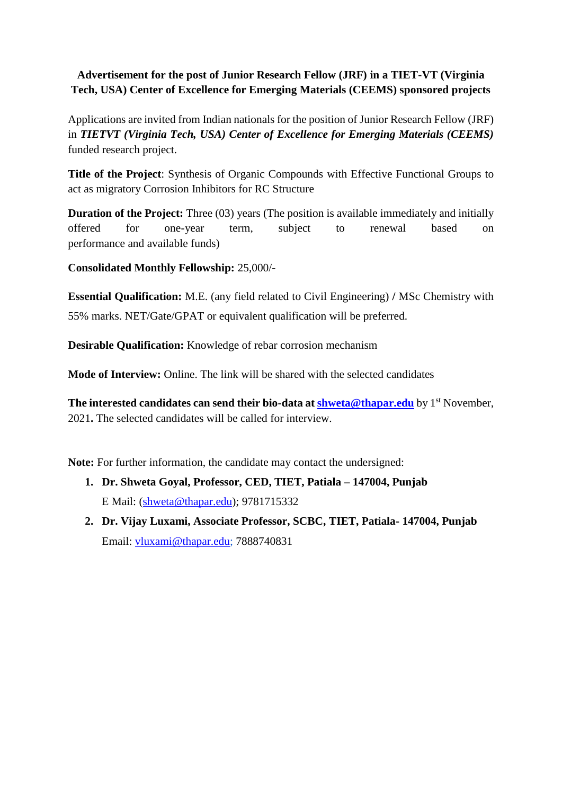## **Advertisement for the post of Junior Research Fellow (JRF) in a TIET-VT (Virginia Tech, USA) Center of Excellence for Emerging Materials (CEEMS) sponsored projects**

Applications are invited from Indian nationals for the position of Junior Research Fellow (JRF) in *TIETVT (Virginia Tech, USA) Center of Excellence for Emerging Materials (CEEMS)*  funded research project.

**Title of the Project**: Synthesis of Organic Compounds with Effective Functional Groups to act as migratory Corrosion Inhibitors for RC Structure

**Duration of the Project:** Three (03) years (The position is available immediately and initially offered for one-year term, subject to renewal based on performance and available funds)

**Consolidated Monthly Fellowship:** 25,000/-

**Essential Qualification:** M.E. (any field related to Civil Engineering) **/** MSc Chemistry with 55% marks. NET/Gate/GPAT or equivalent qualification will be preferred.

**Desirable Qualification:** Knowledge of rebar corrosion mechanism

**Mode of Interview:** Online. The link will be shared with the selected candidates

**The interested candidates can send their bio-data at [shweta@thapar.edu](mailto:shweta@thapar.edu)** by 1<sup>st</sup> November, 2021**.** The selected candidates will be called for interview.

**Note:** For further information, the candidate may contact the undersigned:

- **1. Dr. Shweta Goyal, Professor, CED, TIET, Patiala – 147004, Punjab**  E Mail: [\(shweta@thapar.edu\)](mailto:shweta@thapar.edu); 9781715332
- **2. Dr. Vijay Luxami, Associate Professor, SCBC, TIET, Patiala- 147004, Punjab** Email: [vluxami@thapar.edu;](mailto:vluxami@thapar.edu) 7888740831